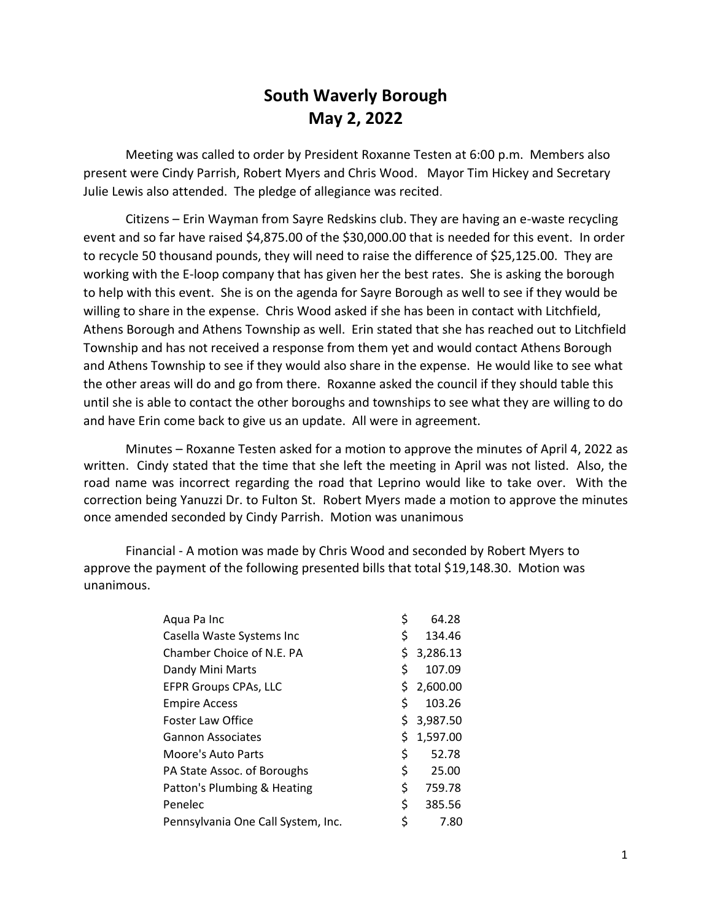## **South Waverly Borough May 2, 2022**

Meeting was called to order by President Roxanne Testen at 6:00 p.m. Members also present were Cindy Parrish, Robert Myers and Chris Wood. Mayor Tim Hickey and Secretary Julie Lewis also attended. The pledge of allegiance was recited.

Citizens – Erin Wayman from Sayre Redskins club. They are having an e-waste recycling event and so far have raised \$4,875.00 of the \$30,000.00 that is needed for this event. In order to recycle 50 thousand pounds, they will need to raise the difference of \$25,125.00. They are working with the E-loop company that has given her the best rates. She is asking the borough to help with this event. She is on the agenda for Sayre Borough as well to see if they would be willing to share in the expense. Chris Wood asked if she has been in contact with Litchfield, Athens Borough and Athens Township as well. Erin stated that she has reached out to Litchfield Township and has not received a response from them yet and would contact Athens Borough and Athens Township to see if they would also share in the expense. He would like to see what the other areas will do and go from there. Roxanne asked the council if they should table this until she is able to contact the other boroughs and townships to see what they are willing to do and have Erin come back to give us an update. All were in agreement.

Minutes – Roxanne Testen asked for a motion to approve the minutes of April 4, 2022 as written. Cindy stated that the time that she left the meeting in April was not listed. Also, the road name was incorrect regarding the road that Leprino would like to take over. With the correction being Yanuzzi Dr. to Fulton St. Robert Myers made a motion to approve the minutes once amended seconded by Cindy Parrish. Motion was unanimous

Financial - A motion was made by Chris Wood and seconded by Robert Myers to approve the payment of the following presented bills that total \$19,148.30. Motion was unanimous.

| Aqua Pa Inc                        | \$  | 64.28      |
|------------------------------------|-----|------------|
| Casella Waste Systems Inc          | \$  | 134.46     |
| Chamber Choice of N.E. PA          | \$. | 3,286.13   |
| Dandy Mini Marts                   | \$  | 107.09     |
| <b>EFPR Groups CPAs, LLC</b>       |     | \$2,600.00 |
| <b>Empire Access</b>               | \$  | 103.26     |
| Foster Law Office                  | \$. | 3,987.50   |
| <b>Gannon Associates</b>           | \$. | 1,597.00   |
| <b>Moore's Auto Parts</b>          | \$  | 52.78      |
| PA State Assoc. of Boroughs        | \$  | 25.00      |
| Patton's Plumbing & Heating        | \$  | 759.78     |
| Penelec                            | \$  | 385.56     |
| Pennsylvania One Call System, Inc. | \$  | 7.80       |
|                                    |     |            |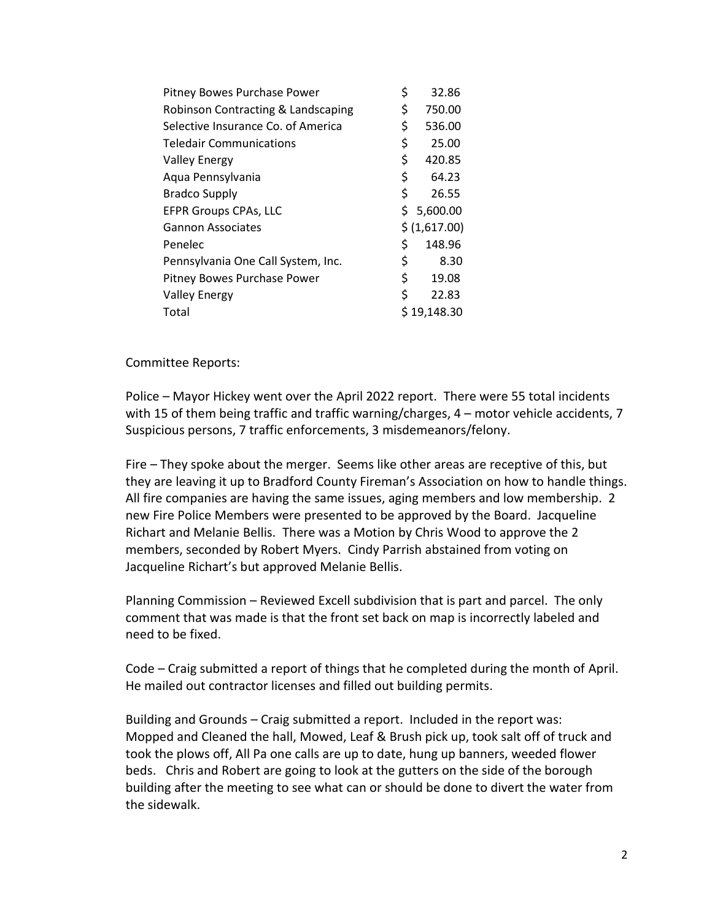| Pitney Bowes Purchase Power        | \$ | 32.86         |
|------------------------------------|----|---------------|
| Robinson Contracting & Landscaping | \$ | 750.00        |
| Selective Insurance Co. of America | \$ | 536.00        |
| <b>Teledair Communications</b>     | \$ | 25.00         |
| <b>Valley Energy</b>               | \$ | 420.85        |
| Aqua Pennsylvania                  | \$ | 64.23         |
| <b>Bradco Supply</b>               | \$ | 26.55         |
| <b>EFPR Groups CPAs, LLC</b>       | Ś. | 5,600.00      |
| <b>Gannon Associates</b>           |    | \$ (1,617.00) |
| Penelec                            | \$ | 148.96        |
| Pennsylvania One Call System, Inc. | \$ | 8.30          |
| Pitney Bowes Purchase Power        | \$ | 19.08         |
| <b>Valley Energy</b>               | \$ | 22.83         |
| Total                              |    | \$19,148.30   |

Committee Reports:

Police – Mayor Hickey went over the April 2022 report. There were 55 total incidents with 15 of them being traffic and traffic warning/charges, 4 – motor vehicle accidents, 7 Suspicious persons, 7 traffic enforcements, 3 misdemeanors/felony.

Fire – They spoke about the merger. Seems like other areas are receptive of this, but they are leaving it up to Bradford County Fireman's Association on how to handle things. All fire companies are having the same issues, aging members and low membership. 2 new Fire Police Members were presented to be approved by the Board. Jacqueline Richart and Melanie Bellis. There was a Motion by Chris Wood to approve the 2 members, seconded by Robert Myers. Cindy Parrish abstained from voting on Jacqueline Richart's but approved Melanie Bellis.

Planning Commission – Reviewed Excell subdivision that is part and parcel. The only comment that was made is that the front set back on map is incorrectly labeled and need to be fixed.

Code – Craig submitted a report of things that he completed during the month of April. He mailed out contractor licenses and filled out building permits.

Building and Grounds – Craig submitted a report. Included in the report was: Mopped and Cleaned the hall, Mowed, Leaf & Brush pick up, took salt off of truck and took the plows off, All Pa one calls are up to date, hung up banners, weeded flower beds. Chris and Robert are going to look at the gutters on the side of the borough building after the meeting to see what can or should be done to divert the water from the sidewalk.